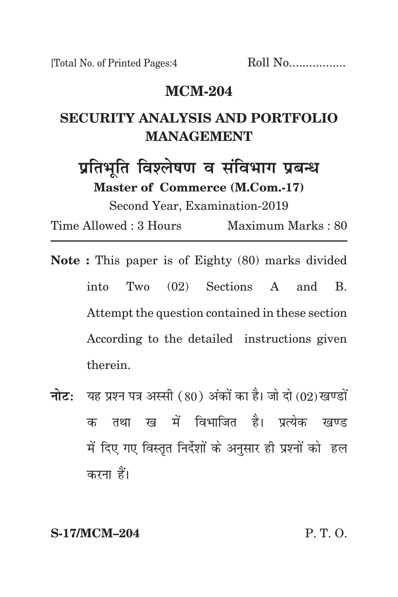### **mcm-204**

# **security analysis and portfolio management**

प्रतिभूति विश्लेषण व संविभाग प्रबन्ध **Master of Commerce (M.Com.-17)** Second Year, Examination-2019

Time Allowed : 3 Hours Maximum Marks : 80

- **Note :** This paper is of Eighty (80) marks divided into Two (02) Sections A and B. Attempt the question contained in these section According to the detailed instructions given therein.
- **नोट:** यह प्रश्न पत्र अस्सी (80) अंकों का है। जो दो (02) खण्डों क तथा ख में विभाजित है। पत्येक खण्ड में दिए गए विस्तत निर्देशों के अनसार ही प्रश्नों को हल करना हैं।

**S-17/MCM–204** P. T. O.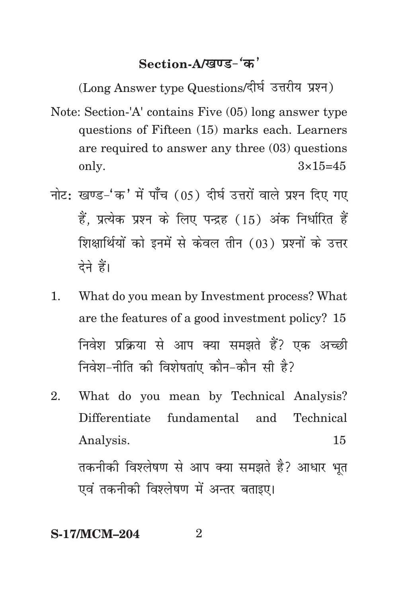## Section-A/*<u><u>laus</u>***</u> (** $\alpha$ **<sup>'</sup></u>**

(Long Answer type Questions/दीर्घ उत्तरीय प्रश्न)

- Note: Section-'A' contains Five (05) long answer type questions of Fifteen (15) marks each. Learners are required to answer any three (03) questions only.  $3\times15=45$
- नोट: खण्ड-'क' में पाँच (05) दीर्घ उत्तरों वाले प्रश्न दिए गए हैं. प्रत्येक प्रश्न के लिए पन्द्रह (15) अंक निर्धारित हैं शिक्षार्थियों को इनमें से केवल तीन (03) प्रश्नों के उत्तर देने हैं।
- 1. What do you mean by Investment process? What are the features of a good investment policy? 15 निवेश प्रक्रिया से आप क्या समझते हैं? एक अच्छी निवेश-नीति की विशेषतांए कौन-कौन सी है?
- 2. What do you mean by Technical Analysis? Differentiate fundamental and Technical Analysis. 15 तकनीकी विश्लेषण से आप क्या समझते है? आधार भत एवं तकनीकी विश्लेषण में अन्तर बताइए।

#### **S-17/MCM-204** 2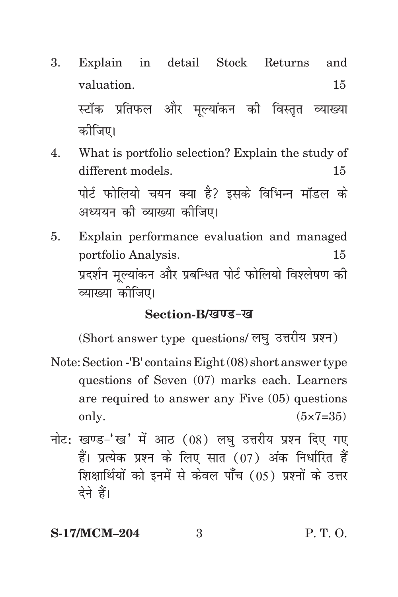- 3. Explain in detail Stock Returns and valuation. 15 स्टॉक प्रतिफल और मुल्यांकन की विस्तृत व्याख्या कोजिए।
- 4. What is portfolio selection? Explain the study of different models. 15 पोर्ट फोलियो चयन क्या है? इसके विभिन्न मॉडल के अध्ययन की व्याख्या कीजिए।
- 5. Explain performance evaluation and managed portfolio Analysis. 15 प्रदर्शन मुल्यांकन और प्रबन्धित पोर्ट फोलियो विश्लेषण की व्याख्या कोजिए।

#### Section-B/*खण्ड-ख*

(Short answer type questions/ लघु उत्तरीय प्रश्न)

- Note: Section -'B' contains Eight (08) short answer type questions of Seven (07) marks each. Learners are required to answer any Five (05) questions only.  $(5 \times 7 = 35)$
- नोट: खण्ड-'ख' में आठ  $(08)$  लघु उत्तरीय प्रश्न दिए गए हैं। प्रत्येक प्रश्न के लिए सात (07) अंक निर्धारित हैं शिक्षार्थियों को इनमें से केवल पाँच (05) प्रश्नों के उत्तर देने हैं।

### **S-17/MCM–204** 3 P. T. O.